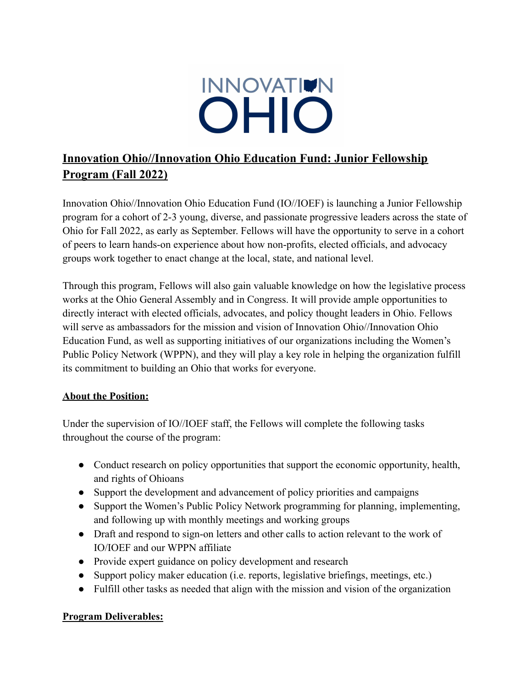

# **Innovation Ohio//Innovation Ohio Education Fund: Junior Fellowship Program (Fall 2022)**

Innovation Ohio//Innovation Ohio Education Fund (IO//IOEF) is launching a Junior Fellowship program for a cohort of 2-3 young, diverse, and passionate progressive leaders across the state of Ohio for Fall 2022, as early as September. Fellows will have the opportunity to serve in a cohort of peers to learn hands-on experience about how non-profits, elected officials, and advocacy groups work together to enact change at the local, state, and national level.

Through this program, Fellows will also gain valuable knowledge on how the legislative process works at the Ohio General Assembly and in Congress. It will provide ample opportunities to directly interact with elected officials, advocates, and policy thought leaders in Ohio. Fellows will serve as ambassadors for the mission and vision of Innovation Ohio//Innovation Ohio Education Fund, as well as supporting initiatives of our organizations including the Women's Public Policy Network (WPPN), and they will play a key role in helping the organization fulfill its commitment to building an Ohio that works for everyone.

### **About the Position:**

Under the supervision of IO//IOEF staff, the Fellows will complete the following tasks throughout the course of the program:

- Conduct research on policy opportunities that support the economic opportunity, health, and rights of Ohioans
- Support the development and advancement of policy priorities and campaigns
- Support the Women's Public Policy Network programming for planning, implementing, and following up with monthly meetings and working groups
- Draft and respond to sign-on letters and other calls to action relevant to the work of IO/IOEF and our WPPN affiliate
- Provide expert guidance on policy development and research
- Support policy maker education (i.e. reports, legislative briefings, meetings, etc.)
- Fulfill other tasks as needed that align with the mission and vision of the organization

### **Program Deliverables:**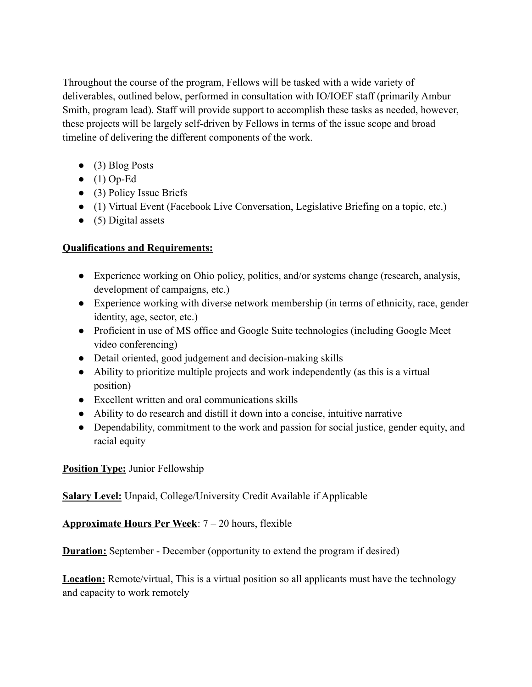Throughout the course of the program, Fellows will be tasked with a wide variety of deliverables, outlined below, performed in consultation with IO/IOEF staff (primarily Ambur Smith, program lead). Staff will provide support to accomplish these tasks as needed, however, these projects will be largely self-driven by Fellows in terms of the issue scope and broad timeline of delivering the different components of the work.

- $\bullet$  (3) Blog Posts
- $\bullet$  (1) Op-Ed
- $\bullet$  (3) Policy Issue Briefs
- (1) Virtual Event (Facebook Live Conversation, Legislative Briefing on a topic, etc.)
- $\bullet$  (5) Digital assets

### **Qualifications and Requirements:**

- Experience working on Ohio policy, politics, and/or systems change (research, analysis, development of campaigns, etc.)
- Experience working with diverse network membership (in terms of ethnicity, race, gender identity, age, sector, etc.)
- Proficient in use of MS office and Google Suite technologies (including Google Meet video conferencing)
- Detail oriented, good judgement and decision-making skills
- Ability to prioritize multiple projects and work independently (as this is a virtual position)
- Excellent written and oral communications skills
- Ability to do research and distill it down into a concise, intuitive narrative
- Dependability, commitment to the work and passion for social justice, gender equity, and racial equity

**Position Type:** Junior Fellowship

**Salary Level:** Unpaid, College/University Credit Available if Applicable

**Approximate Hours Per Week**: 7 – 20 hours, flexible

**Duration:** September - December (opportunity to extend the program if desired)

**Location:** Remote/virtual, This is a virtual position so all applicants must have the technology and capacity to work remotely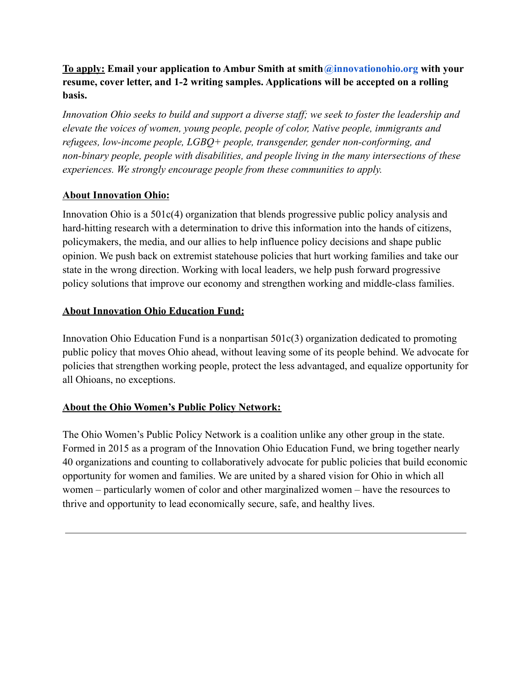### **To apply: Email your application to Ambur Smith at smith[@innovationohio.org](mailto:ryan@innovationohio.org) with your resume, cover letter, and 1-2 writing samples. Applications will be accepted on a rolling basis.**

*Innovation Ohio seeks to build and support a diverse staff; we seek to foster the leadership and elevate the voices of women, young people, people of color, Native people, immigrants and refugees, low-income people, LGBQ+ people, transgender, gender non-conforming, and non-binary people, people with disabilities, and people living in the many intersections of these experiences. We strongly encourage people from these communities to apply.*

### **About Innovation Ohio:**

Innovation Ohio is a 501c(4) organization that blends progressive public policy analysis and hard-hitting research with a determination to drive this information into the hands of citizens, policymakers, the media, and our allies to help influence policy decisions and shape public opinion. We push back on extremist statehouse policies that hurt working families and take our state in the wrong direction. Working with local leaders, we help push forward progressive policy solutions that improve our economy and strengthen working and middle-class families.

### **About Innovation Ohio Education Fund:**

Innovation Ohio Education Fund is a nonpartisan 501c(3) organization dedicated to promoting public policy that moves Ohio ahead, without leaving some of its people behind. We advocate for policies that strengthen working people, protect the less advantaged, and equalize opportunity for all Ohioans, no exceptions.

### **About the Ohio Women's Public Policy Network:**

The Ohio Women's Public Policy Network is a coalition unlike any other group in the state. Formed in 2015 as a program of the Innovation Ohio Education Fund, we bring together nearly 40 organizations and counting to collaboratively advocate for public policies that build economic opportunity for women and families. We are united by a shared vision for Ohio in which all women – particularly women of color and other marginalized women – have the resources to thrive and opportunity to lead economically secure, safe, and healthy lives.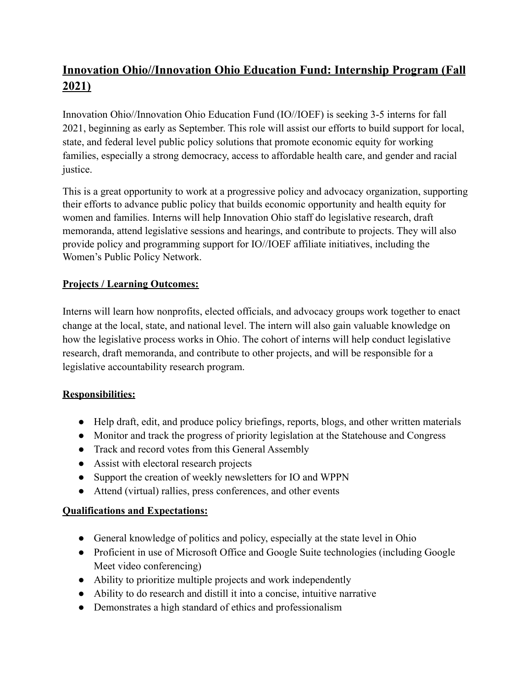## **Innovation Ohio//Innovation Ohio Education Fund: Internship Program (Fall 2021)**

Innovation Ohio//Innovation Ohio Education Fund (IO//IOEF) is seeking 3-5 interns for fall 2021, beginning as early as September. This role will assist our efforts to build support for local, state, and federal level public policy solutions that promote economic equity for working families, especially a strong democracy, access to affordable health care, and gender and racial justice.

This is a great opportunity to work at a progressive policy and advocacy organization, supporting their efforts to advance public policy that builds economic opportunity and health equity for women and families. Interns will help Innovation Ohio staff do legislative research, draft memoranda, attend legislative sessions and hearings, and contribute to projects. They will also provide policy and programming support for IO//IOEF affiliate initiatives, including the Women's Public Policy Network.

### **Projects / Learning Outcomes:**

Interns will learn how nonprofits, elected officials, and advocacy groups work together to enact change at the local, state, and national level. The intern will also gain valuable knowledge on how the legislative process works in Ohio. The cohort of interns will help conduct legislative research, draft memoranda, and contribute to other projects, and will be responsible for a legislative accountability research program.

### **Responsibilities:**

- Help draft, edit, and produce policy briefings, reports, blogs, and other written materials
- Monitor and track the progress of priority legislation at the Statehouse and Congress
- Track and record votes from this General Assembly
- Assist with electoral research projects
- Support the creation of weekly newsletters for IO and WPPN
- Attend (virtual) rallies, press conferences, and other events

### **Qualifications and Expectations:**

- General knowledge of politics and policy, especially at the state level in Ohio
- Proficient in use of Microsoft Office and Google Suite technologies (including Google Meet video conferencing)
- Ability to prioritize multiple projects and work independently
- Ability to do research and distill it into a concise, intuitive narrative
- Demonstrates a high standard of ethics and professionalism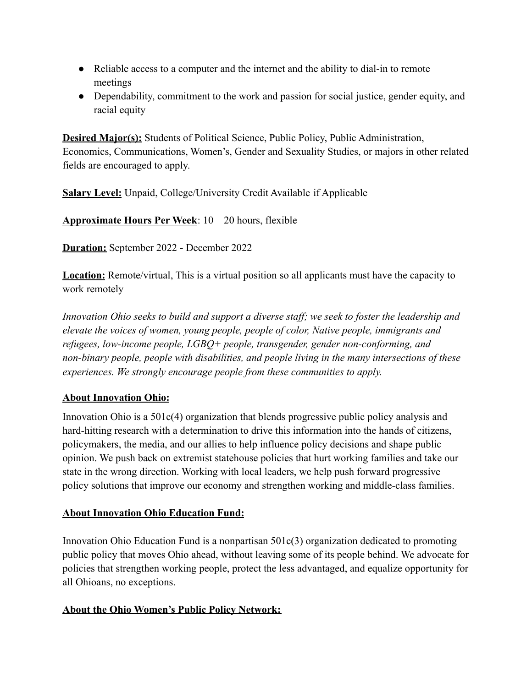- Reliable access to a computer and the internet and the ability to dial-in to remote meetings
- Dependability, commitment to the work and passion for social justice, gender equity, and racial equity

**Desired Major(s):** Students of Political Science, Public Policy, Public Administration, Economics, Communications, Women's, Gender and Sexuality Studies, or majors in other related fields are encouraged to apply.

**Salary Level:** Unpaid, College/University Credit Available if Applicable

**Approximate Hours Per Week**: 10 – 20 hours, flexible

**Duration:** September 2022 - December 2022

**Location:** Remote/virtual, This is a virtual position so all applicants must have the capacity to work remotely

*Innovation Ohio seeks to build and support a diverse staff; we seek to foster the leadership and elevate the voices of women, young people, people of color, Native people, immigrants and refugees, low-income people, LGBQ+ people, transgender, gender non-conforming, and non-binary people, people with disabilities, and people living in the many intersections of these experiences. We strongly encourage people from these communities to apply.*

### **About Innovation Ohio:**

Innovation Ohio is a 501c(4) organization that blends progressive public policy analysis and hard-hitting research with a determination to drive this information into the hands of citizens, policymakers, the media, and our allies to help influence policy decisions and shape public opinion. We push back on extremist statehouse policies that hurt working families and take our state in the wrong direction. Working with local leaders, we help push forward progressive policy solutions that improve our economy and strengthen working and middle-class families.

### **About Innovation Ohio Education Fund:**

Innovation Ohio Education Fund is a nonpartisan 501c(3) organization dedicated to promoting public policy that moves Ohio ahead, without leaving some of its people behind. We advocate for policies that strengthen working people, protect the less advantaged, and equalize opportunity for all Ohioans, no exceptions.

### **About the Ohio Women's Public Policy Network:**